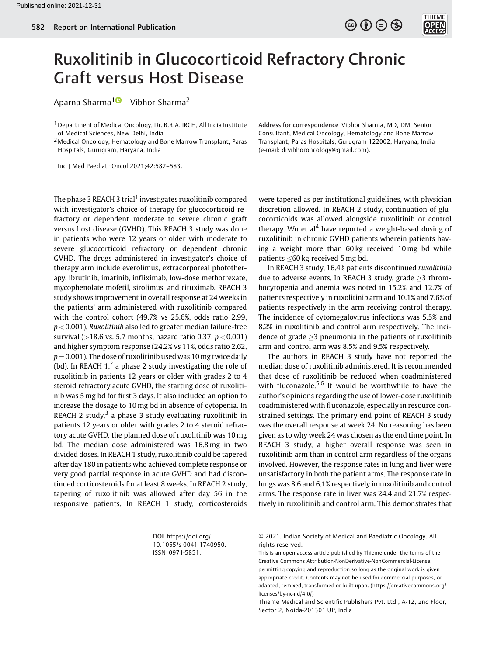

## Ruxolitinib in Glucocorticoid Refractory Chronic Graft versus Host Disease

Aparna Sharma<sup>1</sup><sup>1</sup> Vibhor Sharma<sup>2</sup>

<sup>1</sup> Department of Medical Oncology, Dr. B.R.A. IRCH, All India Institute of Medical Sciences, New Delhi, India

2Medical Oncology, Hematology and Bone Marrow Transplant, Paras Hospitals, Gurugram, Haryana, India

Ind J Med Paediatr Oncol 2021;42:582–583.

The phase 3 REACH 3 trial<sup>1</sup> investigates ruxolitinib compared with investigator's choice of therapy for glucocorticoid refractory or dependent moderate to severe chronic graft versus host disease (GVHD). This REACH 3 study was done in patients who were 12 years or older with moderate to severe glucocorticoid refractory or dependent chronic GVHD. The drugs administered in investigator's choice of therapy arm include everolimus, extracorporeal phototherapy, ibrutinib, imatinib, infliximab, low-dose methotrexate, mycophenolate mofetil, sirolimus, and rituximab. REACH 3 study shows improvement in overall response at 24 weeks in the patients' arm administered with ruxolitinib compared with the control cohort (49.7% vs 25.6%, odds ratio 2.99,  $p < 0.001$ ). Ruxolitinib also led to greater median failure-free survival ( $>$ 18.6 vs. 5.7 months, hazard ratio 0.37,  $p$  < 0.001) and higher symptom response (24.2% vs 11%, odds ratio 2.62,  $p = 0.001$ ). The dose of ruxolitinib used was 10 mg twice daily (bd). In REACH  $1$ ,<sup>2</sup> a phase 2 study investigating the role of ruxolitinib in patients 12 years or older with grades 2 to 4 steroid refractory acute GVHD, the starting dose of ruxolitinib was 5 mg bd for first 3 days. It also included an option to increase the dosage to 10 mg bd in absence of cytopenia. In REACH 2 study, $3$  a phase 3 study evaluating ruxolitinib in patients 12 years or older with grades 2 to 4 steroid refractory acute GVHD, the planned dose of ruxolitinib was 10 mg bd. The median dose administered was 16.8 mg in two divided doses. In REACH 1 study, ruxolitinib could be tapered after day 180 in patients who achieved complete response or very good partial response in acute GVHD and had discontinued corticosteroids for at least 8 weeks. In REACH 2 study, tapering of ruxolitinib was allowed after day 56 in the responsive patients. In REACH 1 study, corticosteroids

> DOI [https://doi.org/](https://doi.org/10.1055/s-0041-1740950) [10.1055/s-0041-1740950](https://doi.org/10.1055/s-0041-1740950). ISSN 0971-5851.

Address for correspondence Vibhor Sharma, MD, DM, Senior Consultant, Medical Oncology, Hematology and Bone Marrow Transplant, Paras Hospitals, Gurugram 122002, Haryana, India (e-mail: [drvibhoroncology@gmail.com\)](mailto:drvibhoroncology@gmail.com).

were tapered as per institutional guidelines, with physician discretion allowed. In REACH 2 study, continuation of glucocorticoids was allowed alongside ruxolitinib or control therapy. Wu et al<sup>4</sup> have reported a weight-based dosing of ruxolitinib in chronic GVHD patients wherein patients having a weight more than 60 kg received 10 mg bd while patients  $\leq$ 60 kg received 5 mg bd.

In REACH 3 study, 16.4% patients discontinued ruxolitinib due to adverse events. In REACH 3 study, grade  $\geq$ 3 thrombocytopenia and anemia was noted in 15.2% and 12.7% of patients respectively in ruxolitinib arm and 10.1% and 7.6% of patients respectively in the arm receiving control therapy. The incidence of cytomegalovirus infections was 5.5% and 8.2% in ruxolitinib and control arm respectively. The incidence of grade  $\geq$ 3 pneumonia in the patients of ruxolitinib arm and control arm was 8.5% and 9.5% respectively.

The authors in REACH 3 study have not reported the median dose of ruxolitinib administered. It is recommended that dose of ruxolitinib be reduced when coadministered with fluconazole.<sup>5,6</sup> It would be worthwhile to have the author's opinions regarding the use of lower-dose ruxolitinib coadministered with fluconazole, especially in resource constrained settings. The primary end point of REACH 3 study was the overall response at week 24. No reasoning has been given as to why week 24 was chosen as the end time point. In REACH 3 study, a higher overall response was seen in ruxolitinib arm than in control arm regardless of the organs involved. However, the response rates in lung and liver were unsatisfactory in both the patient arms. The response rate in lungs was 8.6 and 6.1% respectively in ruxolitinib and control arms. The response rate in liver was 24.4 and 21.7% respectively in ruxolitinib and control arm. This demonstrates that

© 2021. Indian Society of Medical and Paediatric Oncology. All rights reserved.

This is an open access article published by Thieme under the terms of the Creative Commons Attribution-NonDerivative-NonCommercial-License, permitting copying and reproduction so long as the original work is given appropriate credit. Contents may not be used for commercial purposes, or adapted, remixed, transformed or built upon. (https://creativecommons.org/ licenses/by-nc-nd/4.0/)

Thieme Medical and Scientific Publishers Pvt. Ltd., A-12, 2nd Floor, Sector 2, Noida-201301 UP, India